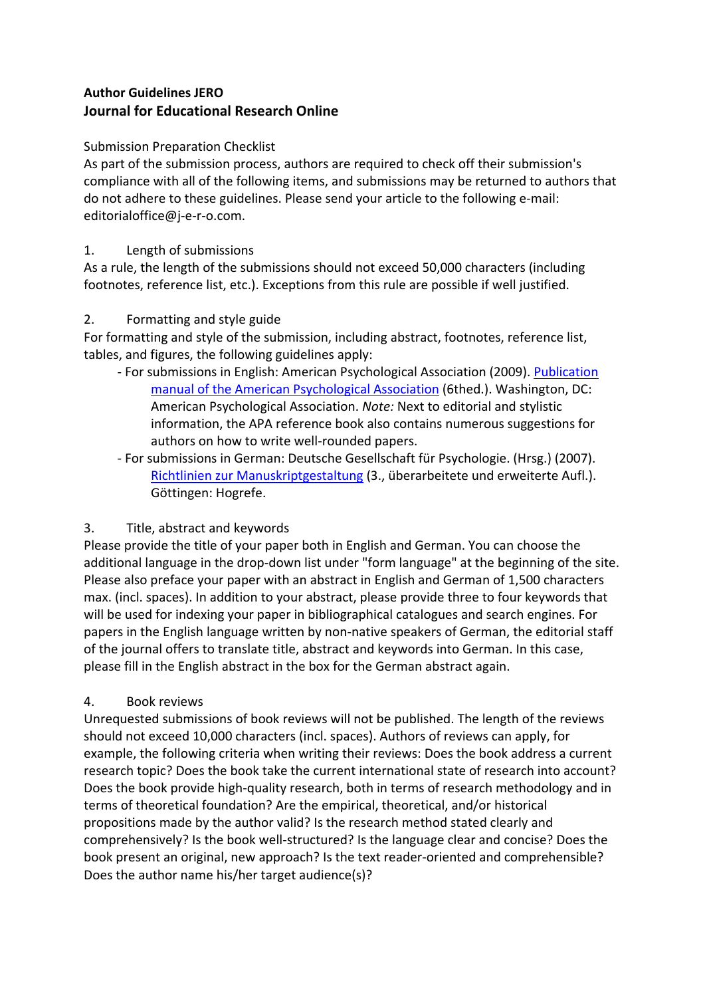# **Author Guidelines JERO Journal for Educational Research Online**

## Submission Preparation Checklist

As part of the submission process, authors are required to check off their submission's compliance with all of the following items, and submissions may be returned to authors that do not adhere to these guidelines. Please send your article to the following e‐mail: editorialoffice@j‐e‐r‐o.com.

## 1. Length of submissions

As a rule, the length of the submissions should not exceed 50,000 characters (including footnotes, reference list, etc.). Exceptions from this rule are possible if well justified.

## 2. Formatting and style guide

For formatting and style of the submission, including abstract, footnotes, reference list, tables, and figures, the following guidelines apply:

- ‐ For submissions in English: American Psychological Association (2009). Publication manual of the American Psychological Association (6thed.). Washington, DC: American Psychological Association. *Note:* Next to editorial and stylistic information, the APA reference book also contains numerous suggestions for authors on how to write well‐rounded papers.
- ‐ For submissions in German: Deutsche Gesellschaft für Psychologie. (Hrsg.) (2007). Richtlinien zur Manuskriptgestaltung (3., überarbeitete und erweiterte Aufl.). Göttingen: Hogrefe.

# 3. Title, abstract and keywords

Please provide the title of your paper both in English and German. You can choose the additional language in the drop-down list under "form language" at the beginning of the site. Please also preface your paper with an abstract in English and German of 1,500 characters max. (incl. spaces). In addition to your abstract, please provide three to four keywords that will be used for indexing your paper in bibliographical catalogues and search engines. For papers in the English language written by non‐native speakers of German, the editorial staff of the journal offers to translate title, abstract and keywords into German. In this case, please fill in the English abstract in the box for the German abstract again.

## 4. Book reviews

Unrequested submissions of book reviews will not be published. The length of the reviews should not exceed 10,000 characters (incl. spaces). Authors of reviews can apply, for example, the following criteria when writing their reviews: Does the book address a current research topic? Does the book take the current international state of research into account? Does the book provide high‐quality research, both in terms of research methodology and in terms of theoretical foundation? Are the empirical, theoretical, and/or historical propositions made by the author valid? Is the research method stated clearly and comprehensively? Is the book well‐structured? Is the language clear and concise? Does the book present an original, new approach? Is the text reader-oriented and comprehensible? Does the author name his/her target audience(s)?